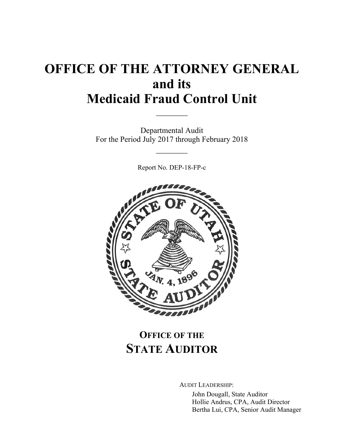# **OFFICE OF THE ATTORNEY GENERAL and its Medicaid Fraud Control Unit**  $\frac{1}{2}$

Departmental Audit For the Period July 2017 through February 2018

 $\frac{1}{2}$ 

Report No. DEP-18-FP-c



# **OFFICE OF THE STATE AUDITOR**

AUDIT LEADERSHIP:

John Dougall, State Auditor Hollie Andrus, CPA, Audit Director Bertha Lui, CPA, Senior Audit Manager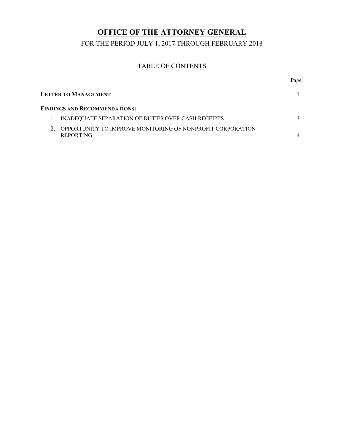## **OFFICE OF THE ATTORNEY GENERAL**

FOR THE PERIOD JULY 1, 2017 THROUGH FEBRUARY 2018

## TABLE OF CONTENTS

|                                      |                                                                                | Page |
|--------------------------------------|--------------------------------------------------------------------------------|------|
|                                      | <b>LETTER TO MANAGEMENT</b>                                                    |      |
| <b>FINDINGS AND RECOMMENDATIONS:</b> |                                                                                |      |
|                                      | INADEOUATE SEPARATION OF DUTIES OVER CASH RECEIPTS                             |      |
|                                      | OPPORTUNITY TO IMPROVE MONITORING OF NONPROFIT CORPORATION<br><b>REPORTING</b> |      |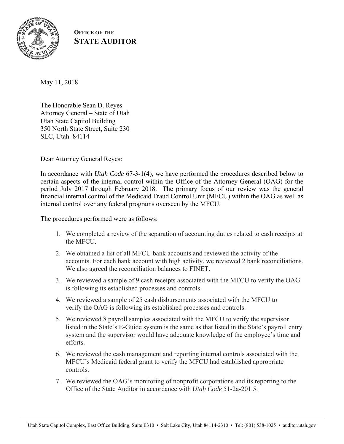

**OFFICE OF THE STATE AUDITOR**

May 11, 2018

The Honorable Sean D. Reyes Attorney General – State of Utah Utah State Capitol Building 350 North State Street, Suite 230 SLC, Utah 84114

Dear Attorney General Reyes:

In accordance with *Utah Code* 67-3-1(4), we have performed the procedures described below to certain aspects of the internal control within the Office of the Attorney General (OAG) for the period July 2017 through February 2018. The primary focus of our review was the general financial internal control of the Medicaid Fraud Control Unit (MFCU) within the OAG as well as internal control over any federal programs overseen by the MFCU.

The procedures performed were as follows:

- 1. We completed a review of the separation of accounting duties related to cash receipts at the MFCU.
- 2. We obtained a list of all MFCU bank accounts and reviewed the activity of the accounts. For each bank account with high activity, we reviewed 2 bank reconciliations. We also agreed the reconciliation balances to FINET.
- 3. We reviewed a sample of 9 cash receipts associated with the MFCU to verify the OAG is following its established processes and controls.
- 4. We reviewed a sample of 25 cash disbursements associated with the MFCU to verify the OAG is following its established processes and controls.
- 5. We reviewed 8 payroll samples associated with the MFCU to verify the supervisor listed in the State's E-Guide system is the same as that listed in the State's payroll entry system and the supervisor would have adequate knowledge of the employee's time and efforts.
- 6. We reviewed the cash management and reporting internal controls associated with the MFCU's Medicaid federal grant to verify the MFCU had established appropriate controls.
- 7. We reviewed the OAG's monitoring of nonprofit corporations and its reporting to the Office of the State Auditor in accordance with *Utah Code* 51-2a-201.5.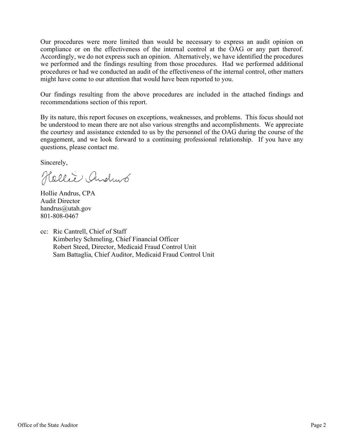Our procedures were more limited than would be necessary to express an audit opinion on compliance or on the effectiveness of the internal control at the OAG or any part thereof. Accordingly, we do not express such an opinion. Alternatively, we have identified the procedures we performed and the findings resulting from those procedures. Had we performed additional procedures or had we conducted an audit of the effectiveness of the internal control, other matters might have come to our attention that would have been reported to you.

Our findings resulting from the above procedures are included in the attached findings and recommendations section of this report.

By its nature, this report focuses on exceptions, weaknesses, and problems. This focus should not be understood to mean there are not also various strengths and accomplishments. We appreciate the courtesy and assistance extended to us by the personnel of the OAG during the course of the engagement, and we look forward to a continuing professional relationship. If you have any questions, please contact me.

Sincerely,

Hollie Andrus

Hollie Andrus, CPA Audit Director handrus@utah.gov 801-808-0467

cc: Ric Cantrell, Chief of Staff Kimberley Schmeling, Chief Financial Officer Robert Steed, Director, Medicaid Fraud Control Unit Sam Battaglia, Chief Auditor, Medicaid Fraud Control Unit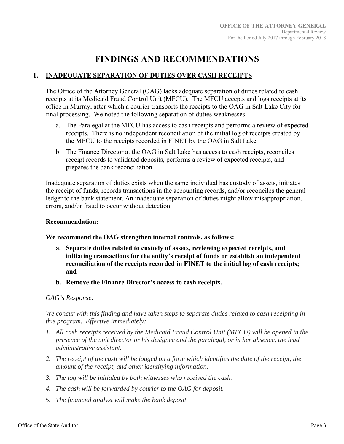# **FINDINGS AND RECOMMENDATIONS**

### **1. INADEQUATE SEPARATION OF DUTIES OVER CASH RECEIPTS**

The Office of the Attorney General (OAG) lacks adequate separation of duties related to cash receipts at its Medicaid Fraud Control Unit (MFCU). The MFCU accepts and logs receipts at its office in Murray, after which a courier transports the receipts to the OAG in Salt Lake City for final processing. We noted the following separation of duties weaknesses:

- a. The Paralegal at the MFCU has access to cash receipts and performs a review of expected receipts. There is no independent reconciliation of the initial log of receipts created by the MFCU to the receipts recorded in FINET by the OAG in Salt Lake.
- b. The Finance Director at the OAG in Salt Lake has access to cash receipts, reconciles receipt records to validated deposits, performs a review of expected receipts, and prepares the bank reconciliation.

Inadequate separation of duties exists when the same individual has custody of assets, initiates the receipt of funds, records transactions in the accounting records, and/or reconciles the general ledger to the bank statement. An inadequate separation of duties might allow misappropriation, errors, and/or fraud to occur without detection.

#### **Recommendation:**

#### **We recommend the OAG strengthen internal controls, as follows:**

- **a. Separate duties related to custody of assets, reviewing expected receipts, and initiating transactions for the entity's receipt of funds or establish an independent reconciliation of the receipts recorded in FINET to the initial log of cash receipts; and**
- **b. Remove the Finance Director's access to cash receipts.**

#### *OAG's Response:*

*We concur with this finding and have taken steps to separate duties related to cash receipting in this program. Effective immediately:*

- *1. All cash receipts received by the Medicaid Fraud Control Unit (MFCU) will be opened in the presence of the unit director or his designee and the paralegal, or in her absence, the lead administrative assistant.*
- *2. The receipt of the cash will be logged on a form which identifies the date of the receipt, the amount of the receipt, and other identifying information.*
- *3. The log will be initialed by both witnesses who received the cash.*
- *4. The cash will be forwarded by courier to the OAG for deposit.*
- *5. The financial analyst will make the bank deposit.*